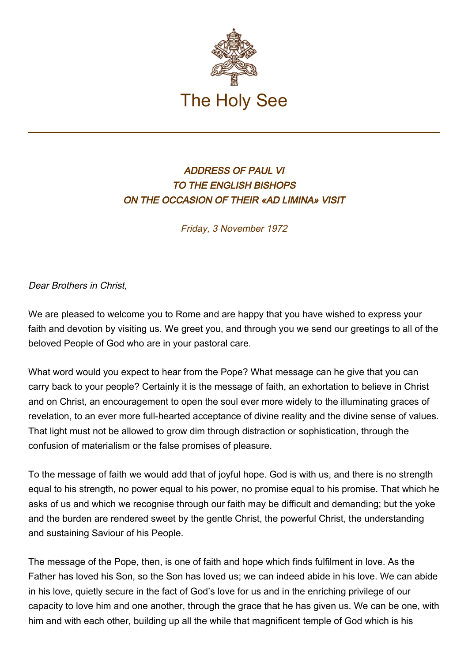

## ADDRESS OF PAUL VI TO THE ENGLISH BISHOPS ON THE OCCASION OF THEIR «AD LIMINA» VISIT

Friday, 3 November 1972

## Dear Brothers in Christ,

We are pleased to welcome you to Rome and are happy that you have wished to express your faith and devotion by visiting us. We greet you, and through you we send our greetings to all of the beloved People of God who are in your pastoral care.

What word would you expect to hear from the Pope? What message can he give that you can carry back to your people? Certainly it is the message of faith, an exhortation to believe in Christ and on Christ, an encouragement to open the soul ever more widely to the illuminating graces of revelation, to an ever more full-hearted acceptance of divine reality and the divine sense of values. That light must not be allowed to grow dim through distraction or sophistication, through the confusion of materialism or the false promises of pleasure.

To the message of faith we would add that of joyful hope. God is with us, and there is no strength equal to his strength, no power equal to his power, no promise equal to his promise. That which he asks of us and which we recognise through our faith may be difficult and demanding; but the yoke and the burden are rendered sweet by the gentle Christ, the powerful Christ, the understanding and sustaining Saviour of his People.

The message of the Pope, then, is one of faith and hope which finds fulfilment in love. As the Father has loved his Son, so the Son has loved us; we can indeed abide in his love. We can abide in his love, quietly secure in the fact of God's love for us and in the enriching privilege of our capacity to love him and one another, through the grace that he has given us. We can be one, with him and with each other, building up all the while that magnificent temple of God which is his